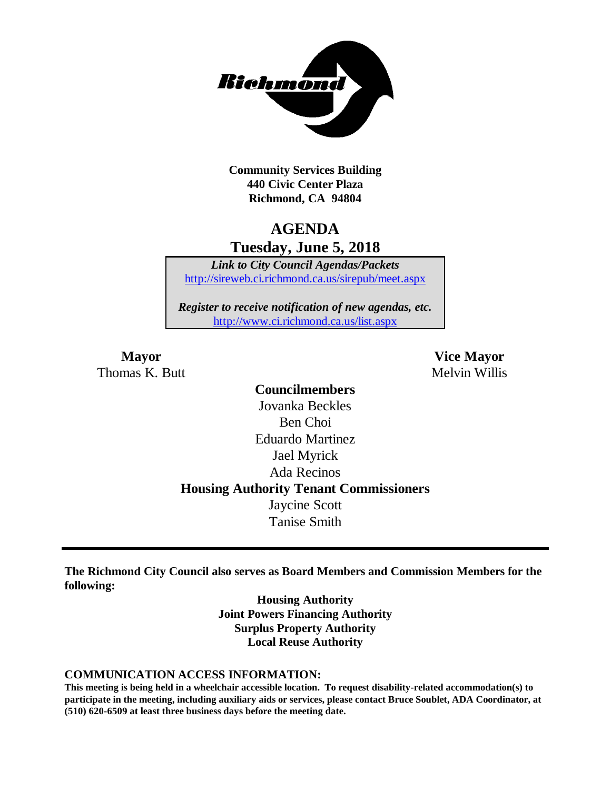

**Community Services Building 440 Civic Center Plaza Richmond, CA 94804**

# **AGENDA Tuesday, June 5, 2018**

*Link to City Council Agendas/Packets* <http://sireweb.ci.richmond.ca.us/sirepub/meet.aspx>

*Register to receive notification of new agendas, etc.* <http://www.ci.richmond.ca.us/list.aspx>

Thomas K. Butt Melvin Willis

**Mayor Vice Mayor**

**Councilmembers** Jovanka Beckles Ben Choi Eduardo Martinez Jael Myrick Ada Recinos **Housing Authority Tenant Commissioners** Jaycine Scott Tanise Smith

**The Richmond City Council also serves as Board Members and Commission Members for the following:**

> **Housing Authority Joint Powers Financing Authority Surplus Property Authority Local Reuse Authority**

#### **COMMUNICATION ACCESS INFORMATION:**

**This meeting is being held in a wheelchair accessible location. To request disability-related accommodation(s) to participate in the meeting, including auxiliary aids or services, please contact Bruce Soublet, ADA Coordinator, at (510) 620-6509 at least three business days before the meeting date.**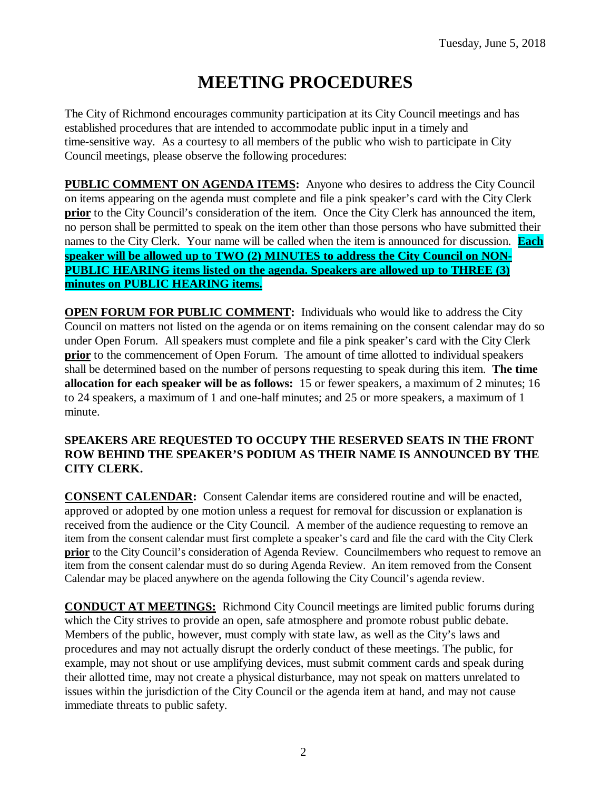# **MEETING PROCEDURES**

The City of Richmond encourages community participation at its City Council meetings and has established procedures that are intended to accommodate public input in a timely and time-sensitive way. As a courtesy to all members of the public who wish to participate in City Council meetings, please observe the following procedures:

**PUBLIC COMMENT ON AGENDA ITEMS:** Anyone who desires to address the City Council on items appearing on the agenda must complete and file a pink speaker's card with the City Clerk **prior** to the City Council's consideration of the item. Once the City Clerk has announced the item, no person shall be permitted to speak on the item other than those persons who have submitted their names to the City Clerk. Your name will be called when the item is announced for discussion. **Each speaker will be allowed up to TWO (2) MINUTES to address the City Council on NON-PUBLIC HEARING items listed on the agenda. Speakers are allowed up to THREE (3) minutes on PUBLIC HEARING items.**

**OPEN FORUM FOR PUBLIC COMMENT:** Individuals who would like to address the City Council on matters not listed on the agenda or on items remaining on the consent calendar may do so under Open Forum. All speakers must complete and file a pink speaker's card with the City Clerk **prior** to the commencement of Open Forum. The amount of time allotted to individual speakers shall be determined based on the number of persons requesting to speak during this item. **The time allocation for each speaker will be as follows:** 15 or fewer speakers, a maximum of 2 minutes; 16 to 24 speakers, a maximum of 1 and one-half minutes; and 25 or more speakers, a maximum of 1 minute.

## **SPEAKERS ARE REQUESTED TO OCCUPY THE RESERVED SEATS IN THE FRONT ROW BEHIND THE SPEAKER'S PODIUM AS THEIR NAME IS ANNOUNCED BY THE CITY CLERK.**

**CONSENT CALENDAR:** Consent Calendar items are considered routine and will be enacted, approved or adopted by one motion unless a request for removal for discussion or explanation is received from the audience or the City Council. A member of the audience requesting to remove an item from the consent calendar must first complete a speaker's card and file the card with the City Clerk **prior** to the City Council's consideration of Agenda Review. Councilmembers who request to remove an item from the consent calendar must do so during Agenda Review. An item removed from the Consent Calendar may be placed anywhere on the agenda following the City Council's agenda review.

**CONDUCT AT MEETINGS:** Richmond City Council meetings are limited public forums during which the City strives to provide an open, safe atmosphere and promote robust public debate. Members of the public, however, must comply with state law, as well as the City's laws and procedures and may not actually disrupt the orderly conduct of these meetings. The public, for example, may not shout or use amplifying devices, must submit comment cards and speak during their allotted time, may not create a physical disturbance, may not speak on matters unrelated to issues within the jurisdiction of the City Council or the agenda item at hand, and may not cause immediate threats to public safety.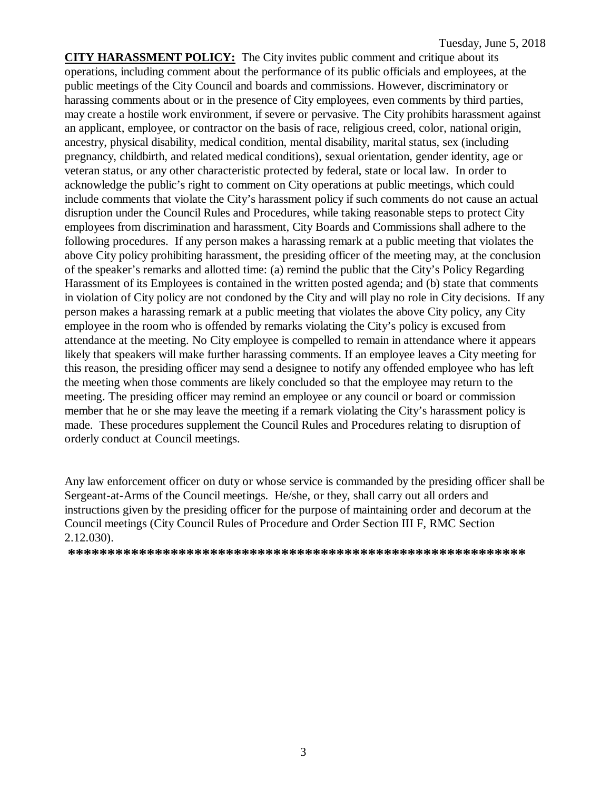**CITY HARASSMENT POLICY:** The City invites public comment and critique about its operations, including comment about the performance of its public officials and employees, at the public meetings of the City Council and boards and commissions. However, discriminatory or harassing comments about or in the presence of City employees, even comments by third parties, may create a hostile work environment, if severe or pervasive. The City prohibits harassment against an applicant, employee, or contractor on the basis of race, religious creed, color, national origin, ancestry, physical disability, medical condition, mental disability, marital status, sex (including pregnancy, childbirth, and related medical conditions), sexual orientation, gender identity, age or veteran status, or any other characteristic protected by federal, state or local law. In order to acknowledge the public's right to comment on City operations at public meetings, which could include comments that violate the City's harassment policy if such comments do not cause an actual disruption under the Council Rules and Procedures, while taking reasonable steps to protect City employees from discrimination and harassment, City Boards and Commissions shall adhere to the following procedures. If any person makes a harassing remark at a public meeting that violates the above City policy prohibiting harassment, the presiding officer of the meeting may, at the conclusion of the speaker's remarks and allotted time: (a) remind the public that the City's Policy Regarding Harassment of its Employees is contained in the written posted agenda; and (b) state that comments in violation of City policy are not condoned by the City and will play no role in City decisions. If any person makes a harassing remark at a public meeting that violates the above City policy, any City employee in the room who is offended by remarks violating the City's policy is excused from attendance at the meeting. No City employee is compelled to remain in attendance where it appears likely that speakers will make further harassing comments. If an employee leaves a City meeting for this reason, the presiding officer may send a designee to notify any offended employee who has left the meeting when those comments are likely concluded so that the employee may return to the meeting. The presiding officer may remind an employee or any council or board or commission member that he or she may leave the meeting if a remark violating the City's harassment policy is made. These procedures supplement the Council Rules and Procedures relating to disruption of orderly conduct at Council meetings.

Any law enforcement officer on duty or whose service is commanded by the presiding officer shall be Sergeant-at-Arms of the Council meetings. He/she, or they, shall carry out all orders and instructions given by the presiding officer for the purpose of maintaining order and decorum at the Council meetings (City Council Rules of Procedure and Order Section III F, RMC Section 2.12.030).

**\*\*\*\*\*\*\*\*\*\*\*\*\*\*\*\*\*\*\*\*\*\*\*\*\*\*\*\*\*\*\*\*\*\*\*\*\*\*\*\*\*\*\*\*\*\*\*\*\*\*\*\*\*\*\*\*\*\***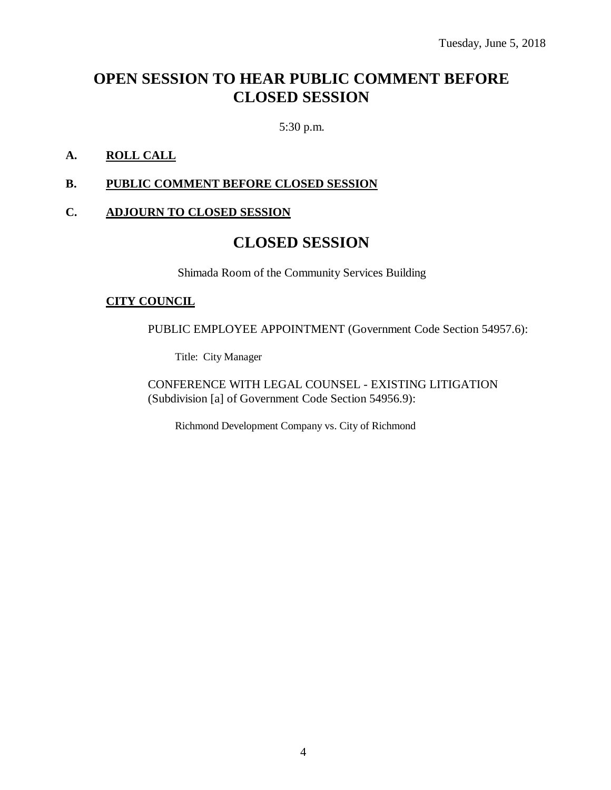# **OPEN SESSION TO HEAR PUBLIC COMMENT BEFORE CLOSED SESSION**

5:30 p.m.

# **A. ROLL CALL**

# **B. PUBLIC COMMENT BEFORE CLOSED SESSION**

### **C. ADJOURN TO CLOSED SESSION**

# **CLOSED SESSION**

Shimada Room of the Community Services Building

#### **CITY COUNCIL**

PUBLIC EMPLOYEE APPOINTMENT (Government Code Section 54957.6):

Title: City Manager

CONFERENCE WITH LEGAL COUNSEL - EXISTING LITIGATION (Subdivision [a] of Government Code Section 54956.9):

Richmond Development Company vs. City of Richmond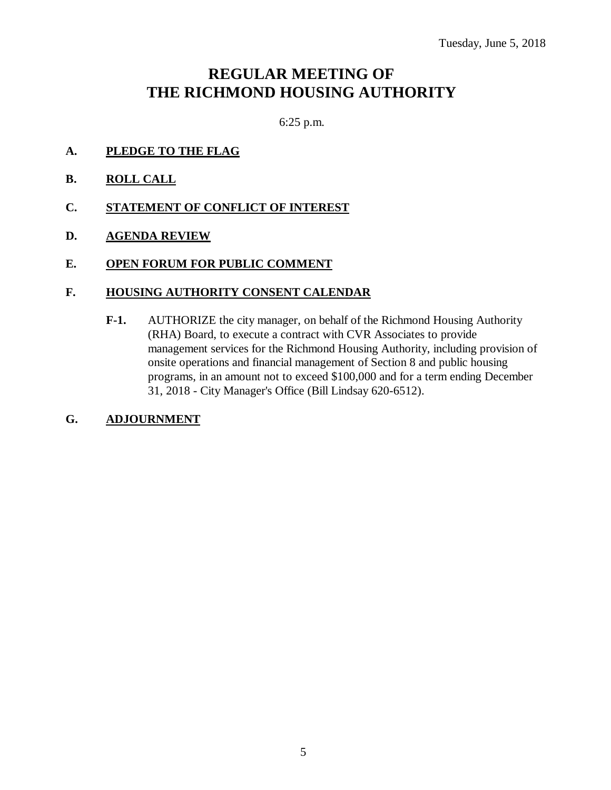# **REGULAR MEETING OF THE RICHMOND HOUSING AUTHORITY**

6:25 p.m.

- **A. PLEDGE TO THE FLAG**
- **B. ROLL CALL**
- **C. STATEMENT OF CONFLICT OF INTEREST**
- **D. AGENDA REVIEW**
- **E. OPEN FORUM FOR PUBLIC COMMENT**

#### **F. HOUSING AUTHORITY CONSENT CALENDAR**

- **F-1.** AUTHORIZE the city manager, on behalf of the Richmond Housing Authority (RHA) Board, to execute a contract with CVR Associates to provide management services for the Richmond Housing Authority, including provision of onsite operations and financial management of Section 8 and public housing programs, in an amount not to exceed \$100,000 and for a term ending December 31, 2018 - City Manager's Office (Bill Lindsay 620-6512).
- **G. ADJOURNMENT**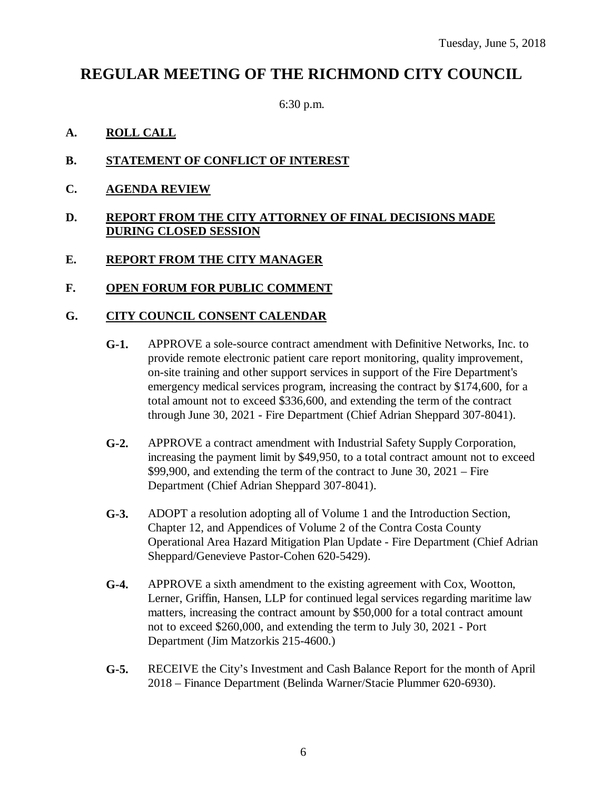# **REGULAR MEETING OF THE RICHMOND CITY COUNCIL**

6:30 p.m.

# **A. ROLL CALL**

- **B. STATEMENT OF CONFLICT OF INTEREST**
- **C. AGENDA REVIEW**

# **D. REPORT FROM THE CITY ATTORNEY OF FINAL DECISIONS MADE DURING CLOSED SESSION**

# **E. REPORT FROM THE CITY MANAGER**

# **F. OPEN FORUM FOR PUBLIC COMMENT**

# **G. CITY COUNCIL CONSENT CALENDAR**

- **G-1.** APPROVE a sole-source contract amendment with Definitive Networks, Inc. to provide remote electronic patient care report monitoring, quality improvement, on-site training and other support services in support of the Fire Department's emergency medical services program, increasing the contract by \$174,600, for a total amount not to exceed \$336,600, and extending the term of the contract through June 30, 2021 - Fire Department (Chief Adrian Sheppard 307-8041).
- **G-2.** APPROVE a contract amendment with Industrial Safety Supply Corporation, increasing the payment limit by \$49,950, to a total contract amount not to exceed \$99,900, and extending the term of the contract to June 30, 2021 – Fire Department (Chief Adrian Sheppard 307-8041).
- **G-3.** ADOPT a resolution adopting all of Volume 1 and the Introduction Section, Chapter 12, and Appendices of Volume 2 of the Contra Costa County Operational Area Hazard Mitigation Plan Update - Fire Department (Chief Adrian Sheppard/Genevieve Pastor-Cohen 620-5429).
- **G-4.** APPROVE a sixth amendment to the existing agreement with Cox, Wootton, Lerner, Griffin, Hansen, LLP for continued legal services regarding maritime law matters, increasing the contract amount by \$50,000 for a total contract amount not to exceed \$260,000, and extending the term to July 30, 2021 - Port Department (Jim Matzorkis 215-4600.)
- **G-5.** RECEIVE the City's Investment and Cash Balance Report for the month of April 2018 – Finance Department (Belinda Warner/Stacie Plummer 620-6930).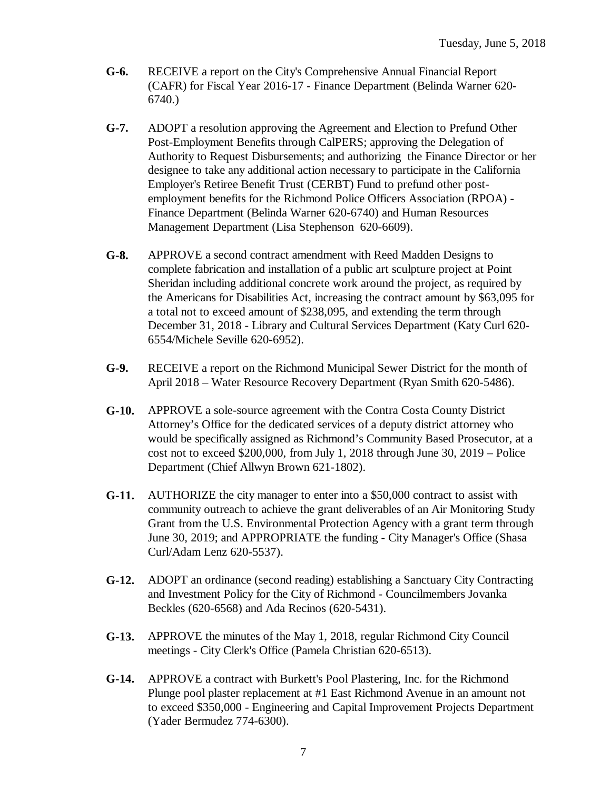- **G-6.** RECEIVE a report on the City's Comprehensive Annual Financial Report (CAFR) for Fiscal Year 2016-17 - Finance Department (Belinda Warner 620- 6740.)
- **G-7.** ADOPT a resolution approving the Agreement and Election to Prefund Other Post-Employment Benefits through CalPERS; approving the Delegation of Authority to Request Disbursements; and authorizing the Finance Director or her designee to take any additional action necessary to participate in the California Employer's Retiree Benefit Trust (CERBT) Fund to prefund other postemployment benefits for the Richmond Police Officers Association (RPOA) - Finance Department (Belinda Warner 620-6740) and Human Resources Management Department (Lisa Stephenson 620-6609).
- **G-8.** APPROVE a second contract amendment with Reed Madden Designs to complete fabrication and installation of a public art sculpture project at Point Sheridan including additional concrete work around the project, as required by the Americans for Disabilities Act, increasing the contract amount by \$63,095 for a total not to exceed amount of \$238,095, and extending the term through December 31, 2018 - Library and Cultural Services Department (Katy Curl 620- 6554/Michele Seville 620-6952).
- **G-9.** RECEIVE a report on the Richmond Municipal Sewer District for the month of April 2018 – Water Resource Recovery Department (Ryan Smith 620-5486).
- **G-10.** APPROVE a sole-source agreement with the Contra Costa County District Attorney's Office for the dedicated services of a deputy district attorney who would be specifically assigned as Richmond's Community Based Prosecutor, at a cost not to exceed \$200,000, from July 1, 2018 through June 30, 2019 – Police Department (Chief Allwyn Brown 621-1802).
- **G-11.** AUTHORIZE the city manager to enter into a \$50,000 contract to assist with community outreach to achieve the grant deliverables of an Air Monitoring Study Grant from the U.S. Environmental Protection Agency with a grant term through June 30, 2019; and APPROPRIATE the funding - City Manager's Office (Shasa Curl/Adam Lenz 620-5537).
- **G-12.** ADOPT an ordinance (second reading) establishing a Sanctuary City Contracting and Investment Policy for the City of Richmond - Councilmembers Jovanka Beckles (620-6568) and Ada Recinos (620-5431).
- **G-13.** APPROVE the minutes of the May 1, 2018, regular Richmond City Council meetings - City Clerk's Office (Pamela Christian 620-6513).
- **G-14.** APPROVE a contract with Burkett's Pool Plastering, Inc. for the Richmond Plunge pool plaster replacement at #1 East Richmond Avenue in an amount not to exceed \$350,000 - Engineering and Capital Improvement Projects Department (Yader Bermudez 774-6300).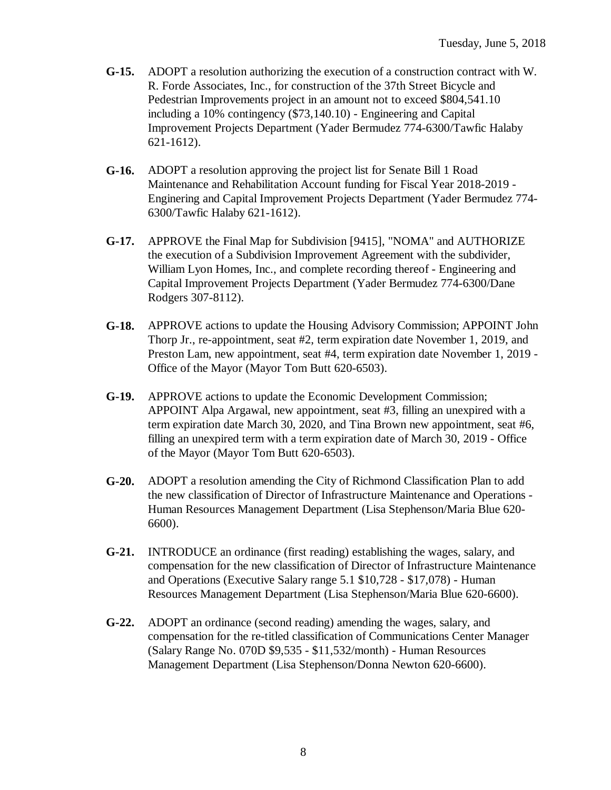- **G-15.** ADOPT a resolution authorizing the execution of a construction contract with W. R. Forde Associates, Inc., for construction of the 37th Street Bicycle and Pedestrian Improvements project in an amount not to exceed \$804,541.10 including a 10% contingency (\$73,140.10) - Engineering and Capital Improvement Projects Department (Yader Bermudez 774-6300/Tawfic Halaby 621-1612).
- **G-16.** ADOPT a resolution approving the project list for Senate Bill 1 Road Maintenance and Rehabilitation Account funding for Fiscal Year 2018-2019 - Enginering and Capital Improvement Projects Department (Yader Bermudez 774- 6300/Tawfic Halaby 621-1612).
- **G-17.** APPROVE the Final Map for Subdivision [9415], "NOMA" and AUTHORIZE the execution of a Subdivision Improvement Agreement with the subdivider, William Lyon Homes, Inc., and complete recording thereof - Engineering and Capital Improvement Projects Department (Yader Bermudez 774-6300/Dane Rodgers 307-8112).
- **G-18.** APPROVE actions to update the Housing Advisory Commission; APPOINT John Thorp Jr., re-appointment, seat #2, term expiration date November 1, 2019, and Preston Lam, new appointment, seat #4, term expiration date November 1, 2019 - Office of the Mayor (Mayor Tom Butt 620-6503).
- **G-19.** APPROVE actions to update the Economic Development Commission; APPOINT Alpa Argawal, new appointment, seat #3, filling an unexpired with a term expiration date March 30, 2020, and Tina Brown new appointment, seat #6, filling an unexpired term with a term expiration date of March 30, 2019 - Office of the Mayor (Mayor Tom Butt 620-6503).
- **G-20.** ADOPT a resolution amending the City of Richmond Classification Plan to add the new classification of Director of Infrastructure Maintenance and Operations - Human Resources Management Department (Lisa Stephenson/Maria Blue 620- 6600).
- **G-21.** INTRODUCE an ordinance (first reading) establishing the wages, salary, and compensation for the new classification of Director of Infrastructure Maintenance and Operations (Executive Salary range 5.1 \$10,728 - \$17,078) - Human Resources Management Department (Lisa Stephenson/Maria Blue 620-6600).
- **G-22.** ADOPT an ordinance (second reading) amending the wages, salary, and compensation for the re-titled classification of Communications Center Manager (Salary Range No. 070D \$9,535 - \$11,532/month) - Human Resources Management Department (Lisa Stephenson/Donna Newton 620-6600).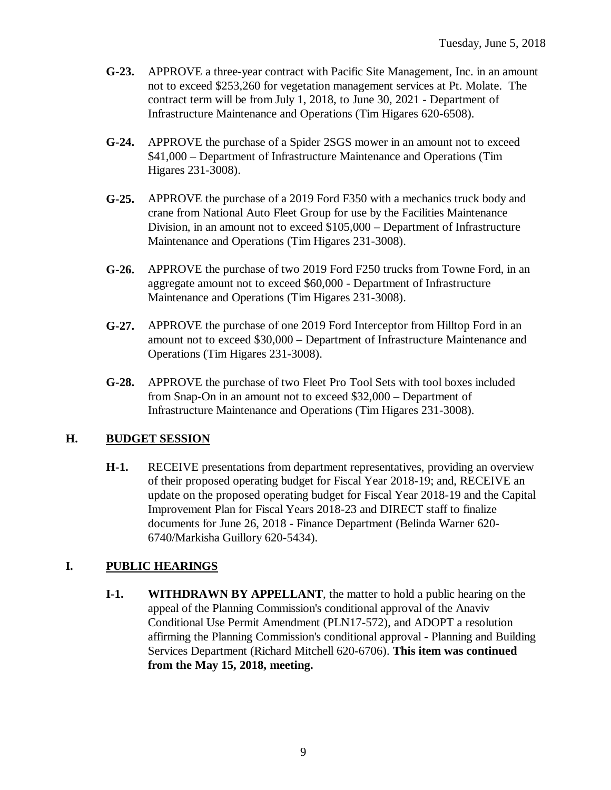- **G-23.** APPROVE a three-year contract with Pacific Site Management, Inc. in an amount not to exceed \$253,260 for vegetation management services at Pt. Molate. The contract term will be from July 1, 2018, to June 30, 2021 - Department of Infrastructure Maintenance and Operations (Tim Higares 620-6508).
- **G-24.** APPROVE the purchase of a Spider 2SGS mower in an amount not to exceed \$41,000 – Department of Infrastructure Maintenance and Operations (Tim Higares 231-3008).
- **G-25.** APPROVE the purchase of a 2019 Ford F350 with a mechanics truck body and crane from National Auto Fleet Group for use by the Facilities Maintenance Division, in an amount not to exceed \$105,000 – Department of Infrastructure Maintenance and Operations (Tim Higares 231-3008).
- **G-26.** APPROVE the purchase of two 2019 Ford F250 trucks from Towne Ford, in an aggregate amount not to exceed \$60,000 - Department of Infrastructure Maintenance and Operations (Tim Higares 231-3008).
- **G-27.** APPROVE the purchase of one 2019 Ford Interceptor from Hilltop Ford in an amount not to exceed \$30,000 – Department of Infrastructure Maintenance and Operations (Tim Higares 231-3008).
- **G-28.** APPROVE the purchase of two Fleet Pro Tool Sets with tool boxes included from Snap-On in an amount not to exceed \$32,000 – Department of Infrastructure Maintenance and Operations (Tim Higares 231-3008).

# **H. BUDGET SESSION**

**H-1.** RECEIVE presentations from department representatives, providing an overview of their proposed operating budget for Fiscal Year 2018-19; and, RECEIVE an update on the proposed operating budget for Fiscal Year 2018-19 and the Capital Improvement Plan for Fiscal Years 2018-23 and DIRECT staff to finalize documents for June 26, 2018 - Finance Department (Belinda Warner 620- 6740/Markisha Guillory 620-5434).

# **I. PUBLIC HEARINGS**

**I-1. WITHDRAWN BY APPELLANT**, the matter to hold a public hearing on the appeal of the Planning Commission's conditional approval of the Anaviv Conditional Use Permit Amendment (PLN17-572), and ADOPT a resolution affirming the Planning Commission's conditional approval - Planning and Building Services Department (Richard Mitchell 620-6706). **This item was continued from the May 15, 2018, meeting.**